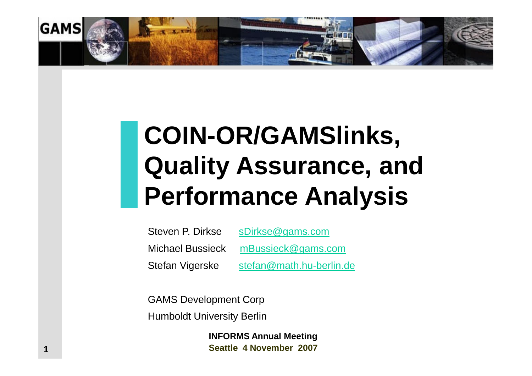

# **COIN-OR/GAMSlinks, Quality Assurance, and Performance Analysis**

Steven P. Dirkse [sDirkse@gams.com](mailto:sDirkse@gams.com) Michael Bussieck [mBussieck@gams.com](mailto:mBussieck@gams.com) Stefan Vigerske [stefan@math.hu-berlin.de](mailto:stefan@math.hu-berlin.de)

GAMS Development Corp Humboldt University Berlin

> **INFORMS Annual Meeting Seattle 4 November 2007**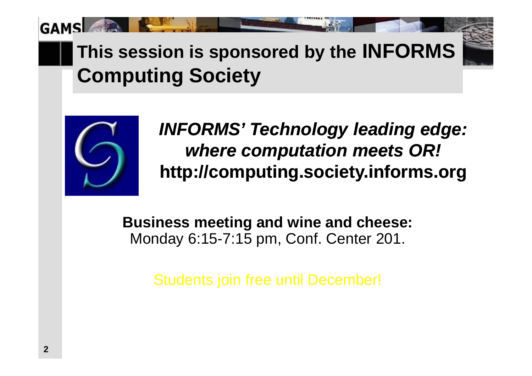**This session is sponsored by the INFORMS Computing Society** 



**GAM** 

*INFORMS' Technology leading edge: where computation meets OR!* **<http://computing.society.informs.org>**

**Business meeting and wine and cheese:** Monday 6:15-7:15 pm, Conf. Center 201.

Students join free until December!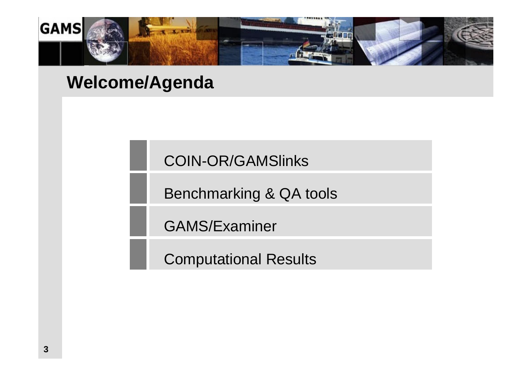

#### **Welcome/Agenda**

COIN-OR/GAMSlinks

Benchmarking & QA tools

GAMS/Examiner

Computational Results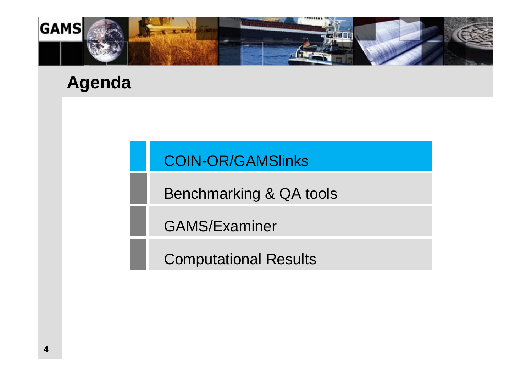

#### **Agenda**

#### COIN-OR/GAMSlinks

Benchmarking & QA tools

GAMS/Examiner

Computational Results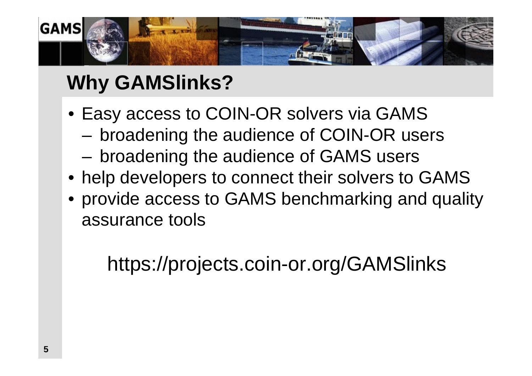

# **Why GAMSlinks?**

- Easy access to COIN-OR solvers via GAMS
	- broadening the audience of COIN-OR users
	- broadening the audience of GAMS users
- help developers to connect their solvers to GAMS
- provide access to GAMS benchmarking and quality assurance tools

https://projects.coin-or.org/GAMSlinks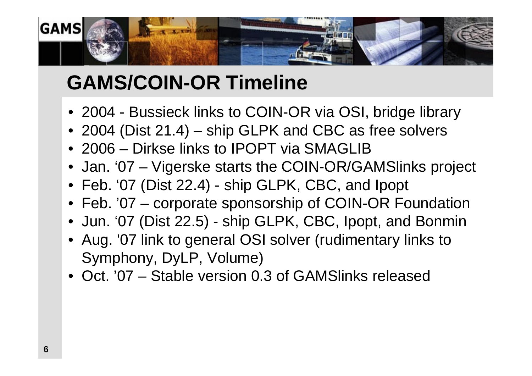

# **GAMS/COIN-OR Timeline**

- 2004 Bussieck links to COIN-OR via OSI, bridge library
- 2004 (Dist 21.4) ship GLPK and CBC as free solvers
- 2006 Dirkse links to IPOPT via SMAGLIB
- Jan. '07 Vigerske starts the COIN-OR/GAMSlinks project
- Feb. '07 (Dist 22.4) ship GLPK, CBC, and Ipopt
- Feb. '07 corporate sponsorship of COIN-OR Foundation
- Jun. '07 (Dist 22.5) ship GLPK, CBC, Ipopt, and Bonmin
- Aug. '07 link to general OSI solver (rudimentary links to Symphony, DyLP, Volume)
- Oct. '07 Stable version 0.3 of GAMSlinks released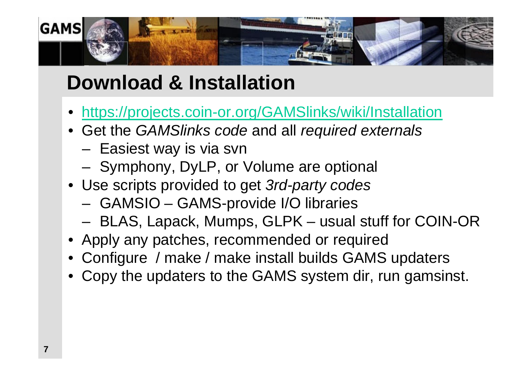

# **Download & Installation**

- https://projects.coin-or.org/GAMSlinks/wiki/Installation
- Get the *GAMSlinks code* and all *required externals*
	- Easiest way is via svn
	- Symphony, DyLP, or Volume are optional
- Use scripts provided to get *3rd-party codes*
	- GAMSIO GAMS-provide I/O libraries
	- BLAS, Lapack, Mumps, GLPK usual stuff for COIN-OR
- Apply any patches, recommended or required
- Configure / make / make install builds GAMS updaters
- Copy the updaters to the GAMS system dir, run gamsinst.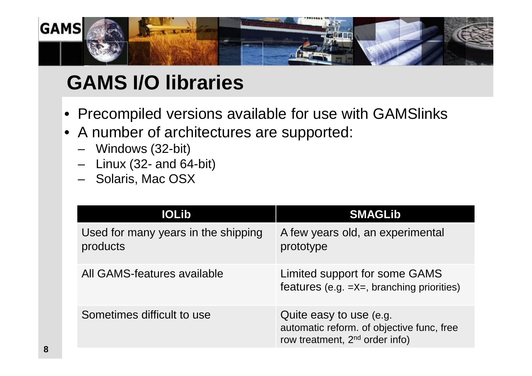

# **GAMS I/O libraries**

- Precompiled versions available for use with GAMSlinks
- A number of architectures are supported:
	- Windows (32-bit)
	- $-$  Linux (32- and 64-bit)
	- Solaris, Mac OSX

| <b>IOLib</b>                                    | <b>SMAGLib</b>                                                                                                     |
|-------------------------------------------------|--------------------------------------------------------------------------------------------------------------------|
| Used for many years in the shipping<br>products | A few years old, an experimental<br>prototype                                                                      |
| All GAMS-features available                     | Limited support for some GAMS<br>features (e.g. $=x=$ , branching priorities)                                      |
| Sometimes difficult to use                      | Quite easy to use (e.g.<br>automatic reform. of objective func, free<br>row treatment, 2 <sup>nd</sup> order info) |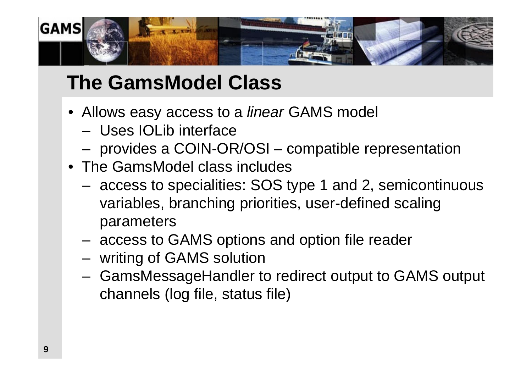

# **The GamsModel Class**

- Allows easy access to a *linear* GAMS model
	- Uses IOLib interface
	- provides a COIN-OR/OSI compatible representation
- The GamsModel class includes
	- access to specialities: SOS type 1 and 2, semicontinuous variables, branching priorities, user-defined scaling parameters
	- access to GAMS options and option file reader
	- writing of GAMS solution
	- GamsMessageHandler to redirect output to GAMS output channels (log file, status file)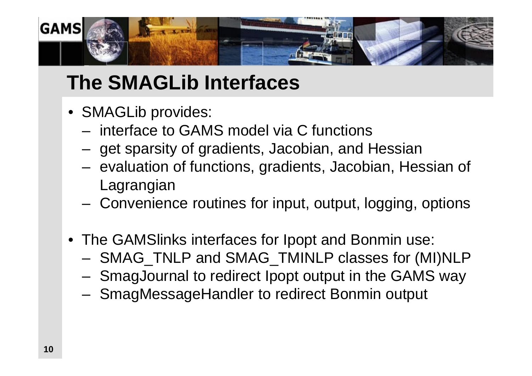

# **The SMAGLib Interfaces**

- SMAGLib provides:
	- interface to GAMS model via C functions
	- get sparsity of gradients, Jacobian, and Hessian
	- evaluation of functions, gradients, Jacobian, Hessian of Lagrangian
	- Convenience routines for input, output, logging, options
- The GAMSlinks interfaces for Ipopt and Bonmin use:
	- SMAG\_TNLP and SMAG\_TMINLP classes for (MI)NLP
	- SmagJournal to redirect Ipopt output in the GAMS way
	- SmagMessageHandler to redirect Bonmin output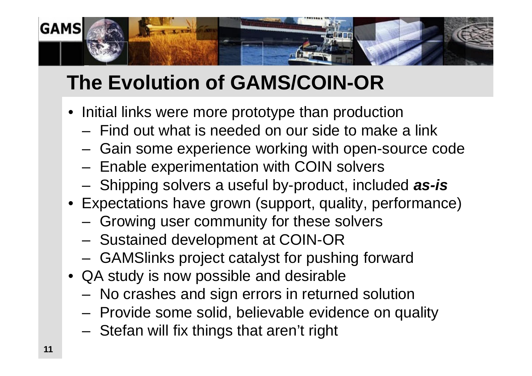

# **The Evolution of GAMS/COIN-OR**

- Initial links were more prototype than production
	- Find out what is needed on our side to make a link
	- Gain some experience working with open-source code
	- Enable experimentation with COIN solvers
	- Shipping solvers a useful by-product, included *as-is*
- Expectations have grown (support, quality, performance)
	- Growing user community for these solvers
	- Sustained development at COIN-OR
	- GAMSlinks project catalyst for pushing forward
- QA study is now possible and desirable
	- No crashes and sign errors in returned solution
	- Provide some solid, believable evidence on quality
	- Stefan will fix things that aren't right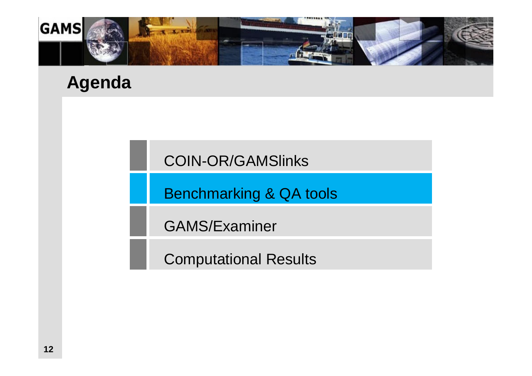

#### **Agenda**

COIN-OR/GAMSlinks

Benchmarking & QA tools

GAMS/Examiner

Computational Results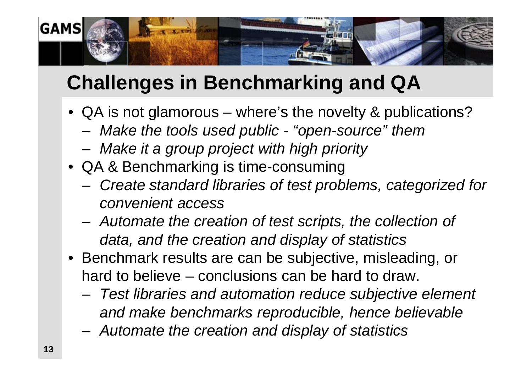

# **Challenges in Benchmarking and QA**

- QA is not glamorous where's the novelty & publications?
	- *Make the tools used public - "open-source" them*
	- *Make it a group project with high priority*
- QA & Benchmarking is time-consuming
	- *Create standard libraries of test problems, categorized for convenient access*
	- *Automate the creation of test scripts, the collection of data, and the creation and display of statistics*
- Benchmark results are can be subjective, misleading, or hard to believe – conclusions can be hard to draw.
	- *Test libraries and automation reduce subjective element and make benchmarks reproducible, hence believable*
	- *Automate the creation and display of statistics*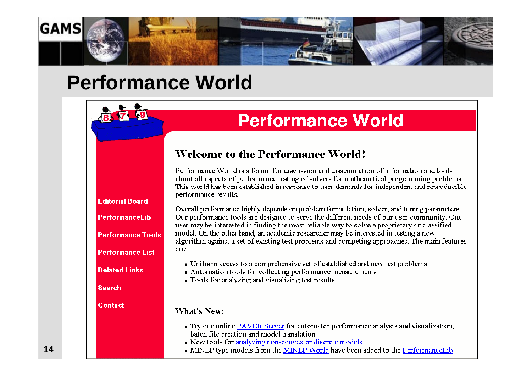

### **Performance World**

**Editorial Board** 

PerformanceLib

**Performance Tools** 

**Performance List** 

**Related Links** 

**Search** 

**Contact** 



#### **Welcome to the Performance World!**

Performance World is a forum for discussion and dissemination of information and tools about all aspects of performance testing of solvers for mathematical programming problems. This world has been established in response to user demands for independent and reproducible performance results.

Overall performance highly depends on problem formulation, solver, and tuning parameters. Our performance tools are designed to serve the different needs of our user community. One user may be interested in finding the most reliable way to solve a proprietary or classified model. On the other hand, an academic researcher may be interested in testing a new algorithm against a set of existing test problems and competing approaches. The main features are:

- Uniform access to a comprehensive set of established and new test problems
- Automation tools for collecting performance measurements
- Tools for analyzing and visualizing test results

What's New:

- Try our online PAVER Server for automated performance analysis and visualization, batch file creation and model translation
- New tools for analyzing non-convex or discrete models
- MINLP type models from the MINLP World have been added to the PerformanceLib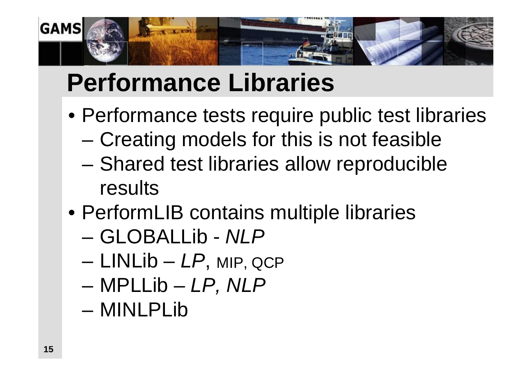

# **Performance Libraries**

- Performance tests require public test libraries
	- Creating models for this is not feasible
	- Shared test libraries allow reproducible results
- PerformLIB contains multiple libraries
	- GLOBALLib *NLP*
	- LINLib *LP*, MIP, QCP
	- MPLLib *LP, NLP*
	- MINLPLib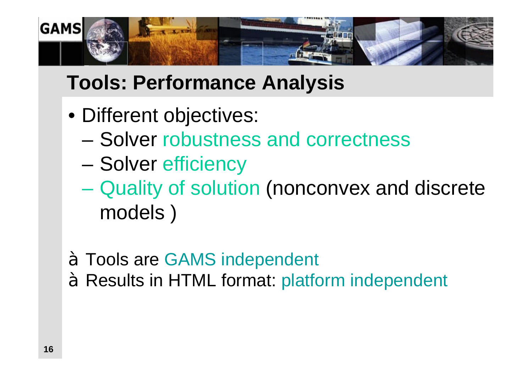

# **Tools: Performance Analysis**

- Different objectives:
	- Solver robustness and correctness
	- Solver efficiency
	- Quality of solution (nonconvex and discrete models )

à Tools are GAMS independent à Results in HTML format: platform independent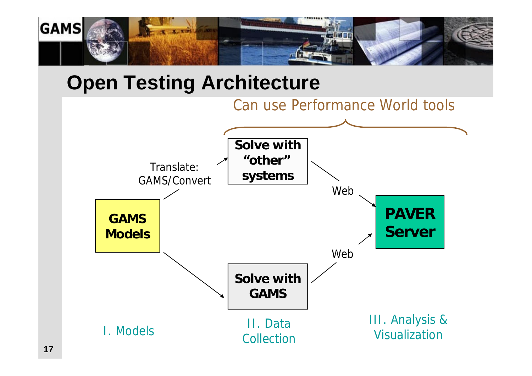

# **Open Testing Architecture**

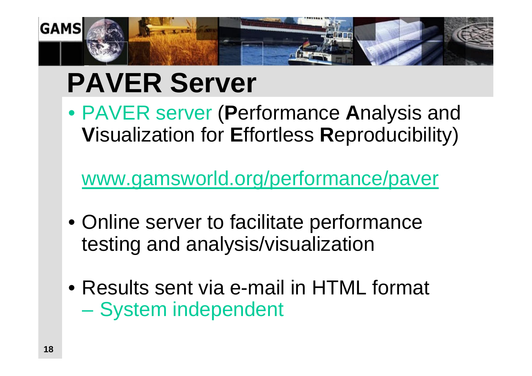

# **PAVER Server**

• PAVER server (**P**erformance **A**nalysis and **V**isualization for **E**ffortless **R**eproducibility)

[www.gamsworld.org/performance/paver](http://www.gamsworld.org/performance/paver)

- Online server to facilitate performance testing and analysis/visualization
- Results sent via e-mail in HTML format – System independent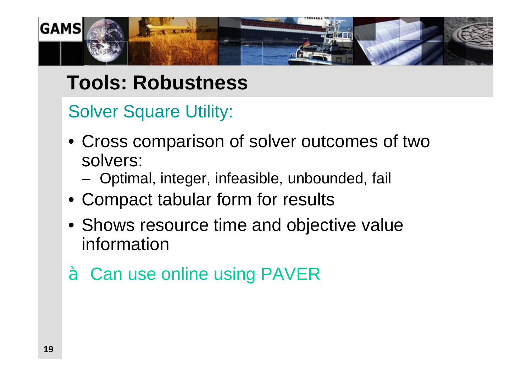

# **Tools: Robustness**

Solver Square Utility:

- Cross comparison of solver outcomes of two solvers:
	- Optimal, integer, infeasible, unbounded, fail
- Compact tabular form for results
- Shows resource time and objective value information
- à Can use online using PAVER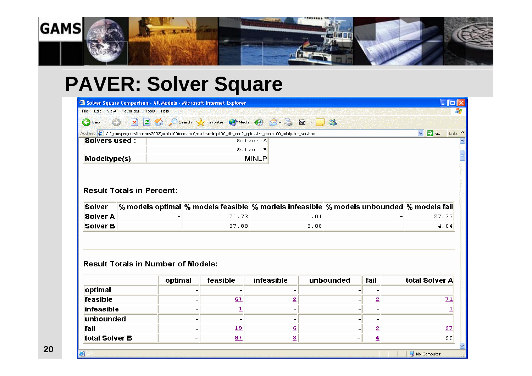

## **PAVER: Solver Square**

|                |                                           |         | <sup>2</sup> Solver Square Comparison - All Models - Microsoft Internet Explorer |                                                                                                                       |                              |                          |                         |                          | $   \Box   \times$                  |  |
|----------------|-------------------------------------------|---------|----------------------------------------------------------------------------------|-----------------------------------------------------------------------------------------------------------------------|------------------------------|--------------------------|-------------------------|--------------------------|-------------------------------------|--|
|                | File Edit View Favorites Tools Help       |         |                                                                                  |                                                                                                                       |                              |                          |                         |                          |                                     |  |
| Back +         | $\vert x \vert$<br>e) –                   |         |                                                                                  | 2 C Search CFavorites @ Media @ 3 是 图 · 3                                                                             |                              |                          |                         |                          |                                     |  |
|                |                                           |         |                                                                                  | Address ( 1; \gamsprojects\informs2002\minlp100\noname\results\minlp100_dic_con2_cplex.trc_minlp100_minlp.trc_sqr.htm |                              |                          |                         |                          | Links >><br>$\vee$ $\rightarrow$ Go |  |
| Solvers used:  |                                           |         |                                                                                  | Solver A                                                                                                              |                              |                          |                         |                          |                                     |  |
|                |                                           |         |                                                                                  | Solver B                                                                                                              |                              |                          |                         |                          |                                     |  |
| Modeltype(s)   |                                           |         |                                                                                  | <b>MINLP</b>                                                                                                          |                              |                          |                         |                          |                                     |  |
| Solver         |                                           |         |                                                                                  | % models optimal $\%$ models feasible $\%$ models infeasible $\%$ models unbounded $\%$ models fail                   |                              |                          |                         |                          |                                     |  |
|                |                                           |         |                                                                                  |                                                                                                                       |                              |                          |                         |                          |                                     |  |
| Solver A       |                                           |         | 71.72                                                                            |                                                                                                                       | 1.01                         |                          |                         | 27.27                    |                                     |  |
| Solver B       |                                           |         | 87.88                                                                            |                                                                                                                       | 8.08                         |                          |                         | $\overline{\phantom{m}}$ | 4.04                                |  |
|                | <b>Result Totals in Number of Models:</b> | optimal | feasible                                                                         | <b>infeasible</b>                                                                                                     |                              | unbounded                | fail                    |                          | total Solver A                      |  |
| optimal        |                                           |         |                                                                                  |                                                                                                                       |                              |                          |                         |                          |                                     |  |
| feasible       |                                           |         | 67                                                                               | $\overline{2}$                                                                                                        |                              |                          |                         |                          | 71                                  |  |
| infeasible     |                                           |         |                                                                                  |                                                                                                                       | $\overline{\mathbf{2}}$<br>- |                          |                         |                          |                                     |  |
|                |                                           |         | 1                                                                                |                                                                                                                       |                              |                          |                         |                          | 1                                   |  |
| unbounded      |                                           |         | $\overline{\phantom{0}}$                                                         |                                                                                                                       |                              | -                        |                         |                          |                                     |  |
| fail           |                                           |         | 19                                                                               | 6                                                                                                                     |                              |                          | $\overline{\mathbf{2}}$ |                          | 27                                  |  |
| total Solver B |                                           |         | 87                                                                               | 8                                                                                                                     |                              | $\overline{\phantom{0}}$ | 4                       |                          | 99                                  |  |

目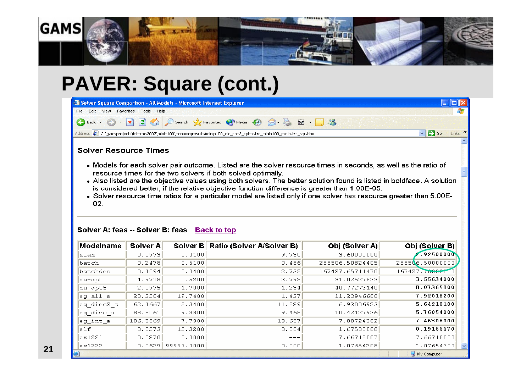

# **PAVER: Square (cont.)**

| Solver Square Comparison - All Models - Microsoft Internet Explorer<br>File Edit View Favorites Tools Help                                                                                                                                                                                                                                                                                                                                                                                                                                                                                                               |          |        |                                    |                 |                            |  |  |  |
|--------------------------------------------------------------------------------------------------------------------------------------------------------------------------------------------------------------------------------------------------------------------------------------------------------------------------------------------------------------------------------------------------------------------------------------------------------------------------------------------------------------------------------------------------------------------------------------------------------------------------|----------|--------|------------------------------------|-----------------|----------------------------|--|--|--|
| G Back ▼ ② × 2 4 2 4 2 Search ★ Favorites → Media ④ ② → ■ → ③ ※                                                                                                                                                                                                                                                                                                                                                                                                                                                                                                                                                          |          |        |                                    |                 |                            |  |  |  |
| $\rightarrow$ Go<br>Links >><br>Address (2) C:\gamsprojects\informs2002\minlp100\noname\results\minlp100_dic_con2_cplex.trc_minlp100_minlp.trc_sqr.htm<br>$\checkmark$                                                                                                                                                                                                                                                                                                                                                                                                                                                   |          |        |                                    |                 |                            |  |  |  |
| <b>Solver Resource Times</b><br>• Models for each solver pair outcome. Listed are the solver resource times in seconds, as well as the ratio of<br>resource times for the two solvers if both solved optimally.<br>• Also listed are the objective values using both solvers. The better solution found is listed in boldface. A solution<br>is considered better, if the relative objective function difference is greater than 1.00E-05.<br>• Solver resource time ratios for a particular model are listed only if one solver has resource greater than 5.00E-<br>02.<br>Solver A: feas -- Solver B: feas Back to top |          |        |                                    |                 |                            |  |  |  |
|                                                                                                                                                                                                                                                                                                                                                                                                                                                                                                                                                                                                                          |          |        |                                    |                 |                            |  |  |  |
|                                                                                                                                                                                                                                                                                                                                                                                                                                                                                                                                                                                                                          | Solver A |        | Solver B Ratio (Solver A/Solver B) | Obj (Solver A)  | Obj (Solver B)             |  |  |  |
| alan                                                                                                                                                                                                                                                                                                                                                                                                                                                                                                                                                                                                                     | 0.0973   | 0.0100 | 9.730                              | 3.60000000      | $-0.92500000$              |  |  |  |
| batch                                                                                                                                                                                                                                                                                                                                                                                                                                                                                                                                                                                                                    | 0.2478   | 0.5100 | 0.486                              | 285506.50824405 | $2855$ <b>\6.</b> 50000000 |  |  |  |
| <b>Modelname</b><br>batchdes                                                                                                                                                                                                                                                                                                                                                                                                                                                                                                                                                                                             | 0.1094   | 0.0400 | 2.735                              | 167427.65711470 | 167427.70000000            |  |  |  |

| <b>MOUEINANIE</b>   | SUIVEL A |                     | SOIVER BILKAUD (SOIVER A/SOIVER B) | <b>ODI ISOIVEL AT</b> | <b>UDI ISOIVEL DI</b> |
|---------------------|----------|---------------------|------------------------------------|-----------------------|-----------------------|
| alan                | 0.0973   | 0.0100              | 9.730                              | 3.60000000            | 2.92500000            |
| batch               | 0.2478   | 0.5100              | 0.486                              | 285506.50824405       | $2855 \& 6.50000000$  |
| batchdes            | 0.1094   | 0.0400              | 2.735                              | 167427.65711470       | 167427.70000000       |
| du-opt              | 1.9718   | 0.5200              | 3.792                              | 31.02527833           | 3.55634000            |
| du-opt5             | 2.0975   | 1.7000              | 1.234                              | 40.77273140           | 8.07365800            |
| $\log$ all $\bm{s}$ | 28.3584  | 19.7400             | 1.437                              | 11.23946680           | 7.92018200            |
| eg disc2 s          | 63.1667  | 5.3400              | 11.829                             | 6.92006923            | 5.64210100            |
| eg disc s           | 88.8061  | 9.3800              | 9.468                              | 10.42127936           | 5.76054000            |
| $ $ eg int s        | 106.3869 | 7.7900              | 13.657                             | 7.88724302            | 7.46308000            |
| e1f                 | 0.0573   | 15.3200             | 0.004                              | 1.67500000            | 0.19166670            |
| ex1221              | 0.0270   | 0.0000              | ---                                | 7.66718007            | 7.66718000            |
| ex1222              |          | $0.0629$ 99999.0000 | 0.000                              | 1.07654308            | 1.07654300<br>N       |
| ei                  |          |                     |                                    |                       | My Computer           |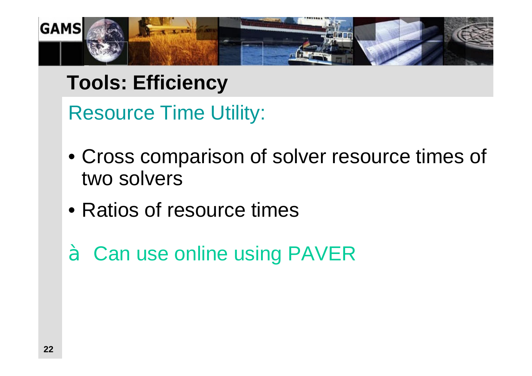

# **Tools: Efficiency**

Resource Time Utility:

- Cross comparison of solver resource times of two solvers
- Ratios of resource times
- à Can use online using PAVER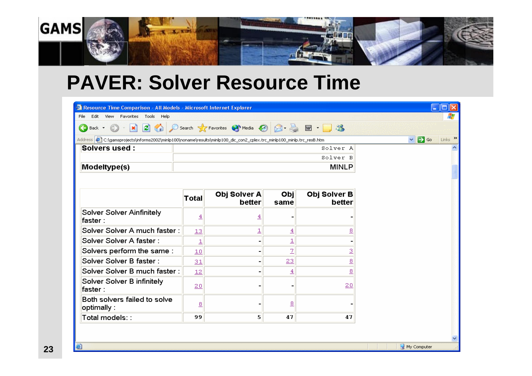

#### **PAVER: Solver Resource Time**

| <sup>2</sup> Resource Time Comparison - All Models - Microsoft Internet Explorer                                        |                         |                          |                          |                        | $\left\  \cdot \right\ $ $\Box$               |
|-------------------------------------------------------------------------------------------------------------------------|-------------------------|--------------------------|--------------------------|------------------------|-----------------------------------------------|
| Edit View Favorites Tools Help<br>File                                                                                  |                         |                          |                          |                        |                                               |
| G Back ▼ ② · <mark>× ② / 2 →</mark> O Search ☆ Favorites ◆ Media <del>②</del> ③ 是 <b>回 · ■ 卷</b>                        |                         |                          |                          |                        |                                               |
| Address (2) C:\gamsprojects\informs2002\minlp100\noname\results\minlp100_dic_con2_cplex.trc_minlp100_minlp.trc_resB.htm |                         |                          |                          |                        | Links >><br>$\sum$ Go<br>$\blacktriangledown$ |
| <b>Solvers used:</b>                                                                                                    |                         |                          |                          | Solver A               |                                               |
|                                                                                                                         |                         |                          |                          | Solver B               |                                               |
| Modeltype(s)                                                                                                            |                         |                          |                          | <b>MINLP</b>           |                                               |
|                                                                                                                         |                         |                          |                          |                        |                                               |
|                                                                                                                         | <b>Total</b>            | Obj Solver A<br>better   | Obj                      | Obj Solver B<br>better |                                               |
|                                                                                                                         |                         |                          | same                     |                        |                                               |
| Solver Solver Ainfinitely<br>faster:                                                                                    | $\overline{4}$          | ₹                        |                          |                        |                                               |
| Solver Solver A much faster:                                                                                            | 13                      | 1                        | $\overline{4}$           | 8                      |                                               |
| Solver Solver A faster:                                                                                                 | $\overline{\mathbf{1}}$ | -                        | $\overline{1}$           |                        |                                               |
| Solvers perform the same:                                                                                               | 10                      | $\overline{\phantom{a}}$ | $\overline{2}$           | 3                      |                                               |
| Solver Solver B faster:                                                                                                 | 31                      | $\overline{\phantom{a}}$ | 23                       | $\overline{8}$         |                                               |
| Solver Solver B much faster:                                                                                            | 12                      | $\overline{\phantom{0}}$ | $\overline{4}$           | <u>ខ</u>               |                                               |
| Solver Solver B infinitely<br>faster:                                                                                   | 20                      |                          | $\overline{\phantom{0}}$ | 20                     |                                               |
| Both solvers failed to solve<br>optimally :                                                                             | $\overline{8}$          |                          | $_{\underline{8}}$       |                        |                                               |
| Total models::                                                                                                          | 99                      | 5                        | 47                       | 47                     |                                               |
|                                                                                                                         |                         |                          |                          |                        |                                               |

Ð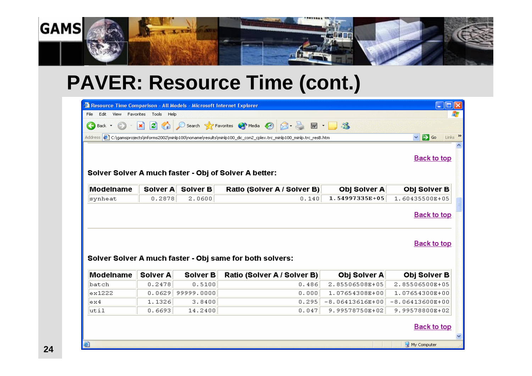

## **PAVER: Resource Time (cont.)**

| <sup>2</sup> Resource Time Comparison - All Models - Microsoft Internet Explorer<br>п                                                                       |                            |                 |                                                          |                   |                     |  |  |  |
|-------------------------------------------------------------------------------------------------------------------------------------------------------------|----------------------------|-----------------|----------------------------------------------------------|-------------------|---------------------|--|--|--|
| Edit<br>File<br>View                                                                                                                                        | Tools<br>Favorites<br>Help |                 |                                                          |                   |                     |  |  |  |
| Search <b>Search</b> Favorites <b>CA</b> Media <b>CA</b><br> z <br>$\blacksquare$<br>e<br>$\boldsymbol{\mathsf{x}}$<br>Back -                               |                            |                 |                                                          |                   |                     |  |  |  |
| $\vee$ $\rightarrow$ Go<br>Links<br>Address (2) C:\gamsprojects\informs2002\minlp100\noname\results\minlp100_dic_con2_cplex.trc_minlp100_minlp.trc_resB.htm |                            |                 |                                                          |                   |                     |  |  |  |
| <b>Back to top</b><br>Solver Solver A much faster - Obj of Solver A better:                                                                                 |                            |                 |                                                          |                   |                     |  |  |  |
| Modelname                                                                                                                                                   | Solver A                   | <b>Solver B</b> | Ratio (Solver A / Solver B)                              | Obj Solver A      | Obj Solver B        |  |  |  |
| synheat                                                                                                                                                     | 0.2878                     | 2.0600          | 0.140                                                    | 1.54997335E+05    | 1.60435500E+05      |  |  |  |
|                                                                                                                                                             |                            |                 | Solver Solver A much faster - Obj same for both solvers: |                   | <b>Back to top</b>  |  |  |  |
| Modelname                                                                                                                                                   | Solver A                   | Solver B        | Ratio (Solver A / Solver B)                              | Obj Solver A      | <b>Obj Solver B</b> |  |  |  |
| batch                                                                                                                                                       | 0.2478                     | 0.5100          | 0.486                                                    | 2.85506508E+05    | 2.85506500E+05      |  |  |  |
| ex1222                                                                                                                                                      | 0.0629                     | 99999.0000      | 0.000                                                    | 1.07654308E+00    | 1.07654300E+00      |  |  |  |
| ex4                                                                                                                                                         | 1.1326                     | 3.8400          | 0.295                                                    | $-8.06413616E+00$ | $-8.06413600E+00$   |  |  |  |
| util                                                                                                                                                        | 0.6693                     | 14.2400         | 0.047                                                    | 9.99578750E+02    | 9.99578800E+02      |  |  |  |
|                                                                                                                                                             | <b>Back to top</b>         |                 |                                                          |                   |                     |  |  |  |
| 6                                                                                                                                                           |                            |                 |                                                          |                   | My Computer         |  |  |  |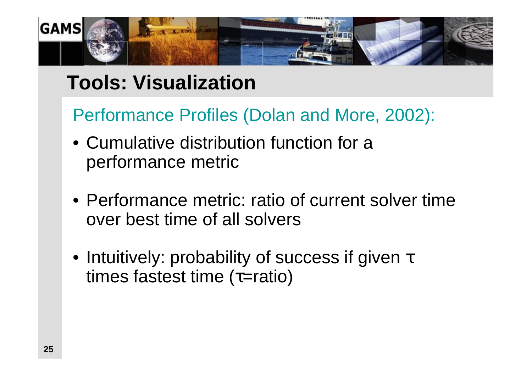

# **Tools: Visualization**

Performance Profiles (Dolan and More, 2002):

- Cumulative distribution function for a performance metric
- Performance metric: ratio of current solver time over best time of all solvers
- Intuitively: probability of success if given  $\tau$ times fastest time (τ=ratio)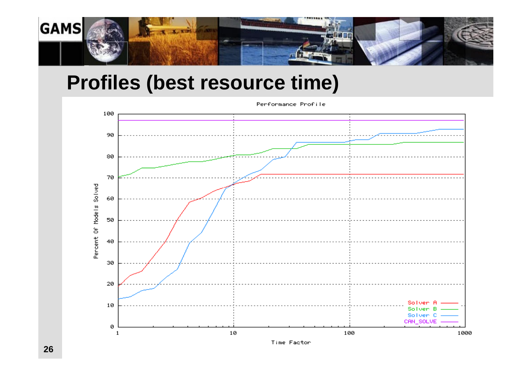

# **Profiles (best resource time)**

Percent Of Models Solved Solven B Solven<sub>C</sub> CAN\_SOLVE ø  $\mathbf{1}$ 

Performance Profile

Time Factor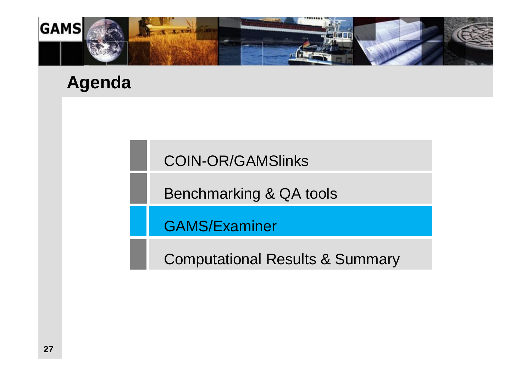

#### **Agenda**

COIN-OR/GAMSlinks

Benchmarking & QA tools

GAMS/Examiner

Computational Results & Summary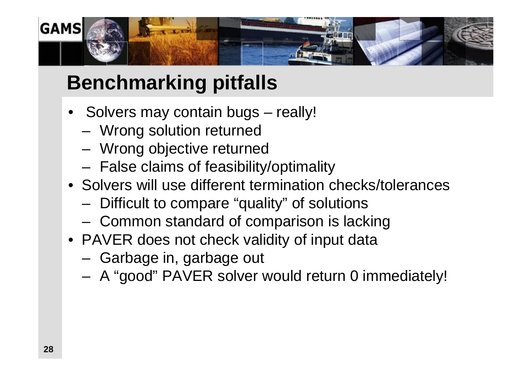

# **Benchmarking pitfalls**

- Solvers may contain bugs really!
	- Wrong solution returned
	- Wrong objective returned
	- False claims of feasibility/optimality
- Solvers will use different termination checks/tolerances
	- Difficult to compare "quality" of solutions
	- Common standard of comparison is lacking
- PAVER does not check validity of input data
	- Garbage in, garbage out
	- A "good" PAVER solver would return 0 immediately!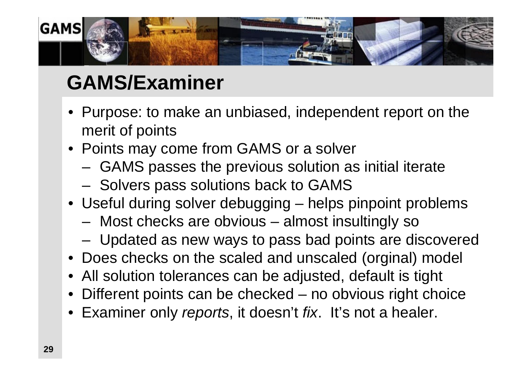

# **GAMS/Examiner**

- Purpose: to make an unbiased, independent report on the merit of points
- Points may come from GAMS or a solver
	- GAMS passes the previous solution as initial iterate
	- Solvers pass solutions back to GAMS
- Useful during solver debugging helps pinpoint problems
	- Most checks are obvious almost insultingly so
	- Updated as new ways to pass bad points are discovered
- Does checks on the scaled and unscaled (orginal) model
- All solution tolerances can be adjusted, default is tight
- Different points can be checked no obvious right choice
- Examiner only *reports*, it doesn't *fix*. It's not a healer.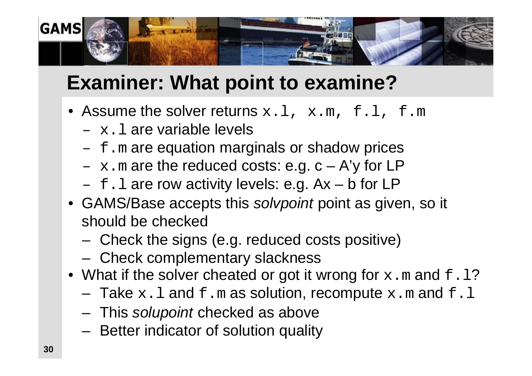

# **Examiner: What point to examine?**

- Assume the solver returns  $x.l, x.m, f.l, f.m$ 
	- $x.1$  are variable levels
	- $-$  f.m are equation marginals or shadow prices
	- $x \cdot m$  are the reduced costs: e.g.  $c A'$ y for LP
	- $-$  f.l are row activity levels: e.g.  $Ax b$  for LP
- GAMS/Base accepts this *solvpoint* point as given, so it should be checked
	- Check the signs (e.g. reduced costs positive)
	- Check complementary slackness
- What if the solver cheated or got it wrong for  $x \cdot m$  and  $f \cdot l$ ?
	- $-$  Take  $x \cdot 1$  and  $f \cdot m$  as solution, recompute  $x \cdot m$  and  $f \cdot l$
	- This *solupoint* checked as above
	- Better indicator of solution quality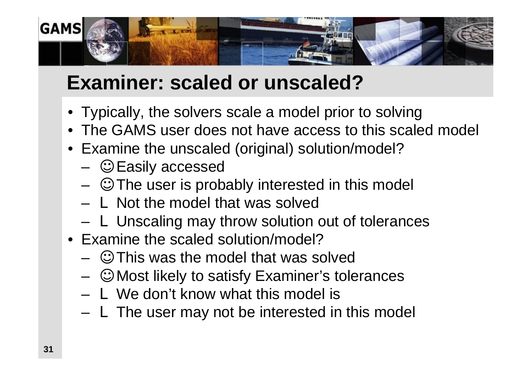

# **Examiner: scaled or unscaled?**

- Typically, the solvers scale a model prior to solving
- The GAMS user does not have access to this scaled model
- Examine the unscaled (original) solution/model?
	- Easily accessed
	- The user is probably interested in this model
	- $-$  L Not the model that was solved
	- L Unscaling may throw solution out of tolerances
- Examine the scaled solution/model?
	- This was the model that was solved
	- Most likely to satisfy Examiner's tolerances
	- $-$  L We don't know what this model is
	- $-$  L The user may not be interested in this model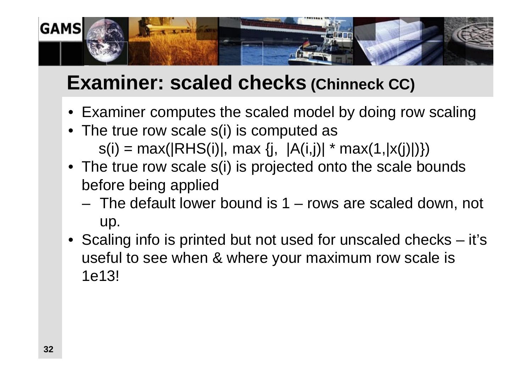

# **Examiner: scaled checks (Chinneck CC)**

- Examiner computes the scaled model by doing row scaling
- The true row scale s(i) is computed as  $s(i) = max(|RHS(i)|, max \{j, |A(i,j)| * max(1, |x(j)|)\})$
- The true row scale s(i) is projected onto the scale bounds before being applied
	- The default lower bound is 1 rows are scaled down, not up.
- Scaling info is printed but not used for unscaled checks it's useful to see when & where your maximum row scale is 1e13!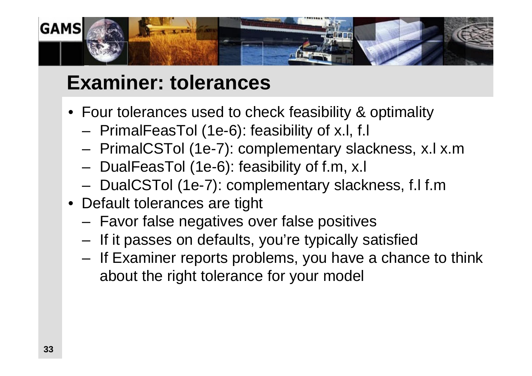

# **Examiner: tolerances**

- Four tolerances used to check feasibility & optimality
	- PrimalFeasTol (1e-6): feasibility of x.l, f.l
	- PrimalCSTol (1e-7): complementary slackness, x.l x.m
	- DualFeasTol (1e-6): feasibility of f.m, x.l
	- DualCSTol (1e-7): complementary slackness, f.l f.m
- Default tolerances are tight
	- Favor false negatives over false positives
	- If it passes on defaults, you're typically satisfied
	- If Examiner reports problems, you have a chance to think about the right tolerance for your model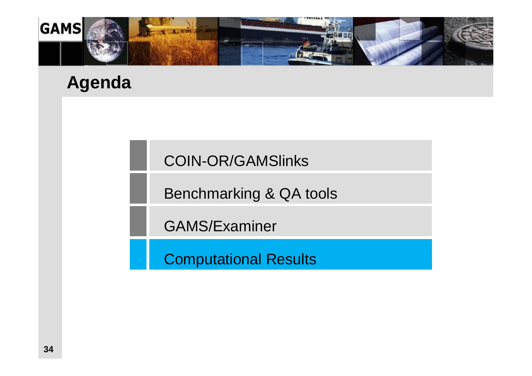

#### **Agenda**

COIN-OR/GAMSlinks

Benchmarking & QA tools

GAMS/Examiner

Computational Results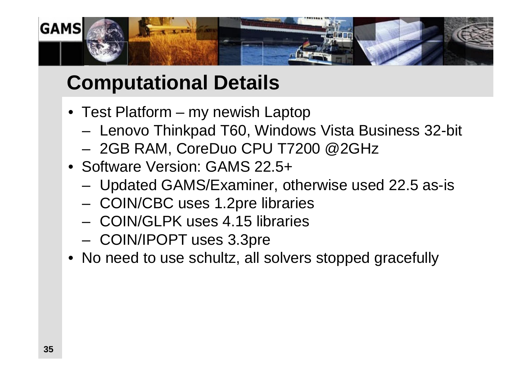

# **Computational Details**

- Test Platform my newish Laptop
	- Lenovo Thinkpad T60, Windows Vista Business 32-bit
	- 2GB RAM, CoreDuo CPU T7200 @2GHz
- Software Version: GAMS 22.5+
	- Updated GAMS/Examiner, otherwise used 22.5 as-is
	- COIN/CBC uses 1.2pre libraries
	- COIN/GLPK uses 4.15 libraries
	- COIN/IPOPT uses 3.3pre
- No need to use schultz, all solvers stopped gracefully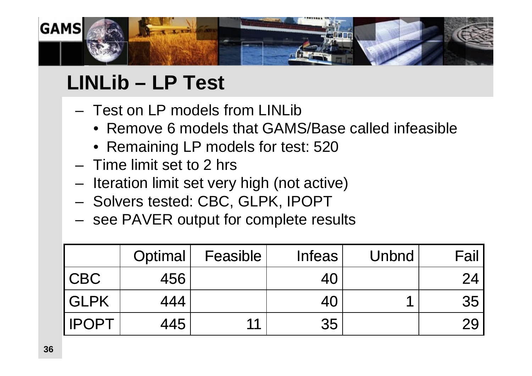

# **LINLib – LP Test**

- Test on LP models from LINLib
	- Remove 6 models that GAMS/Base called infeasible
	- Remaining LP models for test: 520
- Time limit set to 2 hrs
- Iteration limit set very high (not active)
- Solvers tested: CBC, GLPK, IPOPT
- see PAVER output for complete results

|              | Optimal | Feasible | <b>Infeas</b> | Unbnd | Fail |
|--------------|---------|----------|---------------|-------|------|
| <b>CBC</b>   | 456     |          | 40            |       | 24   |
| <b>GLPK</b>  | 444     |          | 40            |       | 35   |
| <b>IPOPT</b> | 445     | 11       | 35            |       | 29   |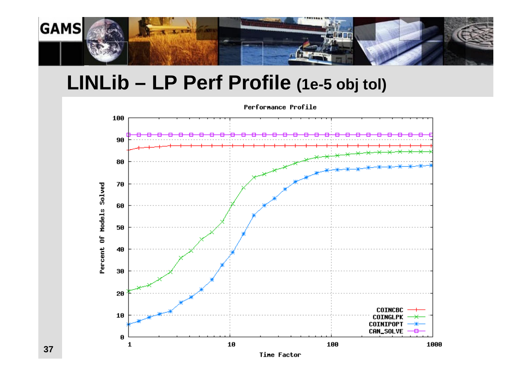

#### **LINLib – LP Perf Profile (1e-5 obj tol)**



Performance Profile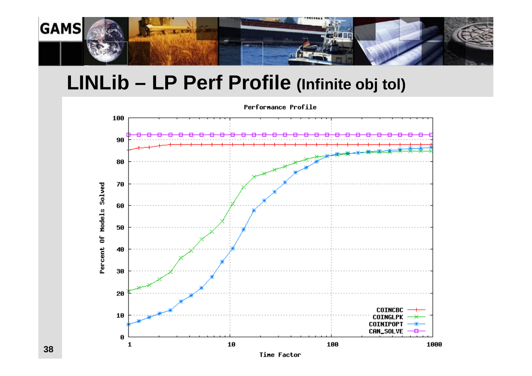

#### **LINLib – LP Perf Profile (Infinite obj tol)**



Time Factor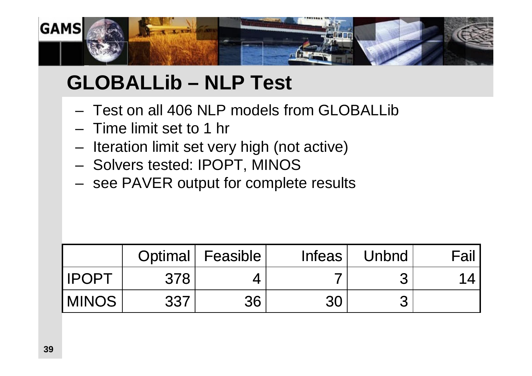

# **GLOBALLib – NLP Test**

- Test on all 406 NLP models from GLOBALLib
- Time limit set to 1 hr
- Iteration limit set very high (not active)
- Solvers tested: IPOPT, MINOS
- see PAVER output for complete results

|               |     | Optimal   Feasible | Infeas | Unbnd | Fail, |
|---------------|-----|--------------------|--------|-------|-------|
| <b>IPOPT</b>  | 378 |                    |        |       |       |
| <b>IMINOS</b> | 337 | 36                 | 30     |       |       |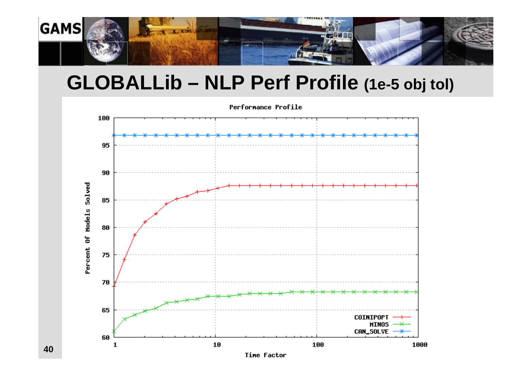

#### **GLOBALLib – NLP Perf Profile (1e-5 obj tol)**



**40**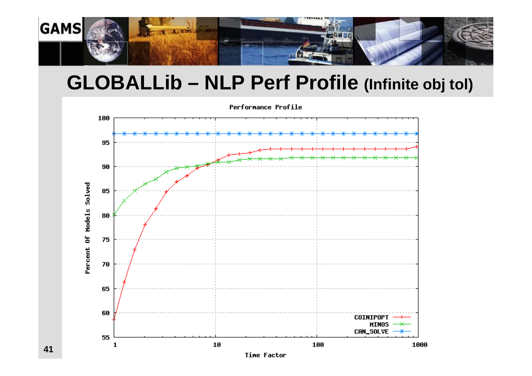

#### **GLOBALLib – NLP Perf Profile (Infinite obj tol)**



**41**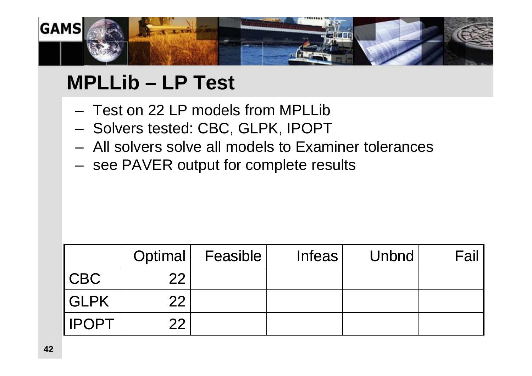

# **MPLLib – LP Test**

- Test on 22 LP models from MPLLib
- Solvers tested: CBC, GLPK, IPOPT
- All solvers solve all models to Examiner tolerances
- see PAVER output for complete results

|              | Optimal | <b>Feasible</b> | <b>Infeas</b> | <b>Unbnd</b> | <b>Fail</b> |
|--------------|---------|-----------------|---------------|--------------|-------------|
| CBC          | 22      |                 |               |              |             |
| <b>GLPK</b>  | 22      |                 |               |              |             |
| <b>IPOPT</b> | つつ      |                 |               |              |             |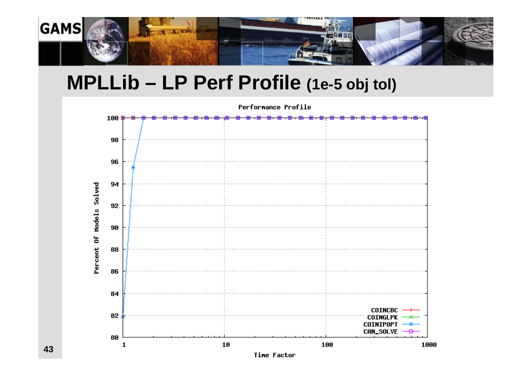

#### **MPLLib – LP Perf Profile (1e-5 obj tol)**